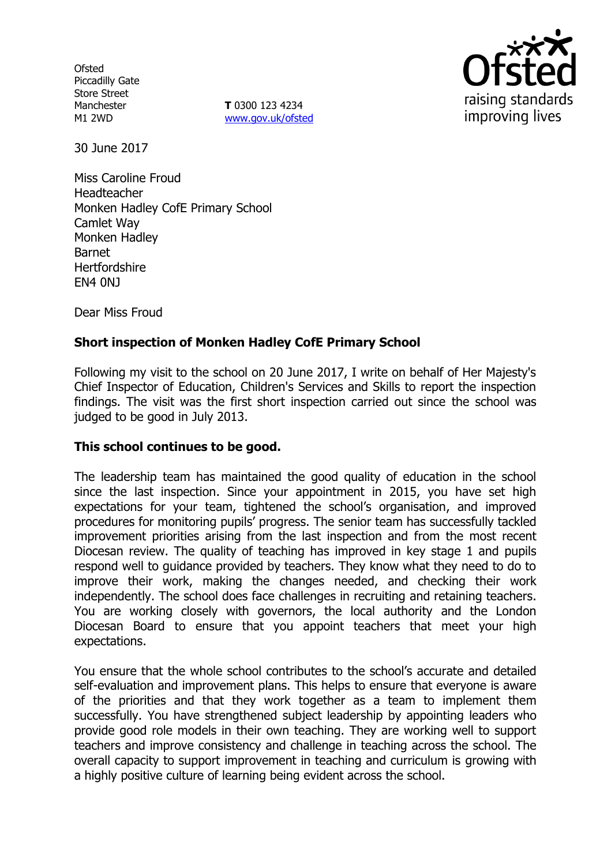**Ofsted** Piccadilly Gate Store Street Manchester M1 2WD

**T** 0300 123 4234 www.gov.uk/ofsted



30 June 2017

Miss Caroline Froud Headteacher Monken Hadley CofE Primary School Camlet Way Monken Hadley Barnet **Hertfordshire** EN4 0NJ

Dear Miss Froud

# **Short inspection of Monken Hadley CofE Primary School**

Following my visit to the school on 20 June 2017, I write on behalf of Her Majesty's Chief Inspector of Education, Children's Services and Skills to report the inspection findings. The visit was the first short inspection carried out since the school was judged to be good in July 2013.

### **This school continues to be good.**

The leadership team has maintained the good quality of education in the school since the last inspection. Since your appointment in 2015, you have set high expectations for your team, tightened the school's organisation, and improved procedures for monitoring pupils' progress. The senior team has successfully tackled improvement priorities arising from the last inspection and from the most recent Diocesan review. The quality of teaching has improved in key stage 1 and pupils respond well to guidance provided by teachers. They know what they need to do to improve their work, making the changes needed, and checking their work independently. The school does face challenges in recruiting and retaining teachers. You are working closely with governors, the local authority and the London Diocesan Board to ensure that you appoint teachers that meet your high expectations.

You ensure that the whole school contributes to the school's accurate and detailed self-evaluation and improvement plans. This helps to ensure that everyone is aware of the priorities and that they work together as a team to implement them successfully. You have strengthened subject leadership by appointing leaders who provide good role models in their own teaching. They are working well to support teachers and improve consistency and challenge in teaching across the school. The overall capacity to support improvement in teaching and curriculum is growing with a highly positive culture of learning being evident across the school.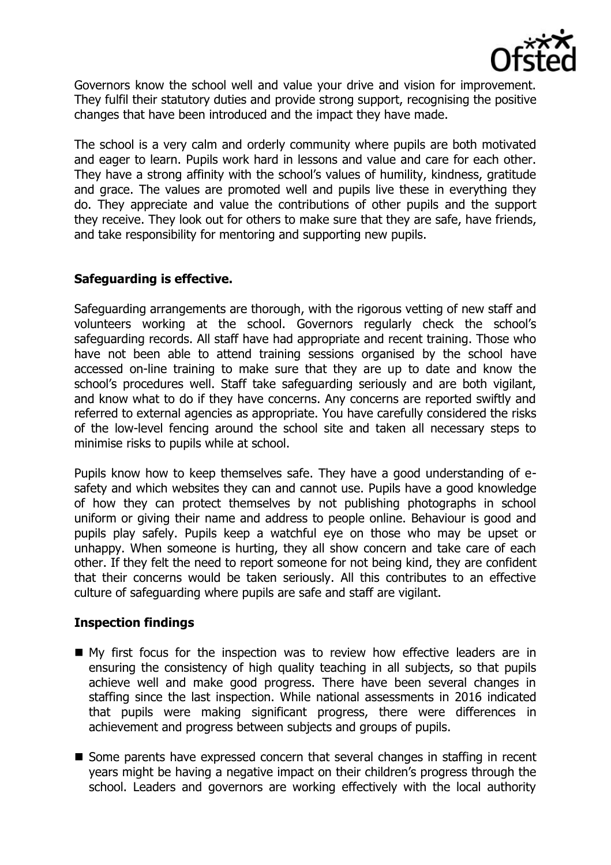

Governors know the school well and value your drive and vision for improvement. They fulfil their statutory duties and provide strong support, recognising the positive changes that have been introduced and the impact they have made.

The school is a very calm and orderly community where pupils are both motivated and eager to learn. Pupils work hard in lessons and value and care for each other. They have a strong affinity with the school's values of humility, kindness, gratitude and grace. The values are promoted well and pupils live these in everything they do. They appreciate and value the contributions of other pupils and the support they receive. They look out for others to make sure that they are safe, have friends, and take responsibility for mentoring and supporting new pupils.

## **Safeguarding is effective.**

Safeguarding arrangements are thorough, with the rigorous vetting of new staff and volunteers working at the school. Governors regularly check the school's safeguarding records. All staff have had appropriate and recent training. Those who have not been able to attend training sessions organised by the school have accessed on-line training to make sure that they are up to date and know the school's procedures well. Staff take safeguarding seriously and are both vigilant, and know what to do if they have concerns. Any concerns are reported swiftly and referred to external agencies as appropriate. You have carefully considered the risks of the low-level fencing around the school site and taken all necessary steps to minimise risks to pupils while at school.

Pupils know how to keep themselves safe. They have a good understanding of esafety and which websites they can and cannot use. Pupils have a good knowledge of how they can protect themselves by not publishing photographs in school uniform or giving their name and address to people online. Behaviour is good and pupils play safely. Pupils keep a watchful eye on those who may be upset or unhappy. When someone is hurting, they all show concern and take care of each other. If they felt the need to report someone for not being kind, they are confident that their concerns would be taken seriously. All this contributes to an effective culture of safeguarding where pupils are safe and staff are vigilant.

### **Inspection findings**

- My first focus for the inspection was to review how effective leaders are in ensuring the consistency of high quality teaching in all subjects, so that pupils achieve well and make good progress. There have been several changes in staffing since the last inspection. While national assessments in 2016 indicated that pupils were making significant progress, there were differences in achievement and progress between subjects and groups of pupils.
- Some parents have expressed concern that several changes in staffing in recent years might be having a negative impact on their children's progress through the school. Leaders and governors are working effectively with the local authority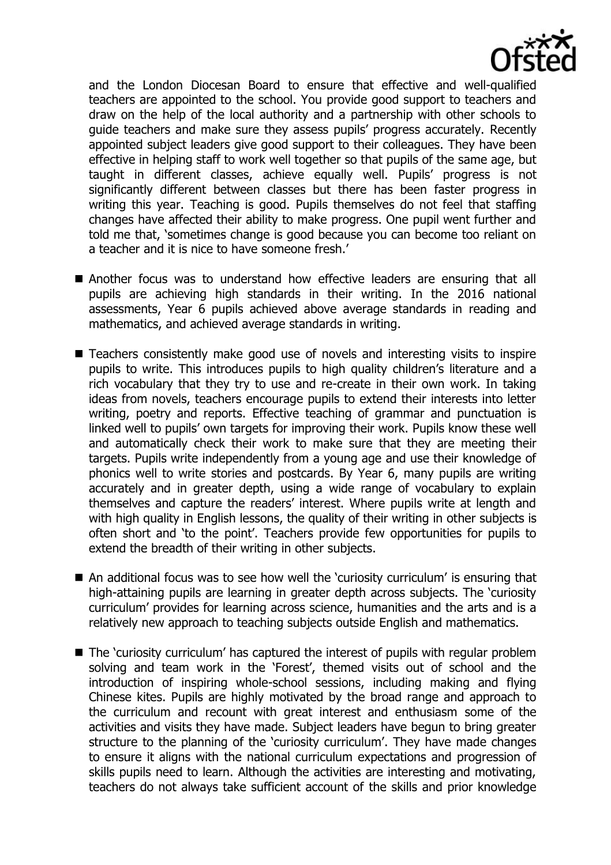

and the London Diocesan Board to ensure that effective and well-qualified teachers are appointed to the school. You provide good support to teachers and draw on the help of the local authority and a partnership with other schools to guide teachers and make sure they assess pupils' progress accurately. Recently appointed subject leaders give good support to their colleagues. They have been effective in helping staff to work well together so that pupils of the same age, but taught in different classes, achieve equally well. Pupils' progress is not significantly different between classes but there has been faster progress in writing this year. Teaching is good. Pupils themselves do not feel that staffing changes have affected their ability to make progress. One pupil went further and told me that, 'sometimes change is good because you can become too reliant on a teacher and it is nice to have someone fresh.'

- Another focus was to understand how effective leaders are ensuring that all pupils are achieving high standards in their writing. In the 2016 national assessments, Year 6 pupils achieved above average standards in reading and mathematics, and achieved average standards in writing.
- Teachers consistently make good use of novels and interesting visits to inspire pupils to write. This introduces pupils to high quality children's literature and a rich vocabulary that they try to use and re-create in their own work. In taking ideas from novels, teachers encourage pupils to extend their interests into letter writing, poetry and reports. Effective teaching of grammar and punctuation is linked well to pupils' own targets for improving their work. Pupils know these well and automatically check their work to make sure that they are meeting their targets. Pupils write independently from a young age and use their knowledge of phonics well to write stories and postcards. By Year 6, many pupils are writing accurately and in greater depth, using a wide range of vocabulary to explain themselves and capture the readers' interest. Where pupils write at length and with high quality in English lessons, the quality of their writing in other subjects is often short and 'to the point'. Teachers provide few opportunities for pupils to extend the breadth of their writing in other subjects.
- An additional focus was to see how well the 'curiosity curriculum' is ensuring that high-attaining pupils are learning in greater depth across subjects. The 'curiosity curriculum' provides for learning across science, humanities and the arts and is a relatively new approach to teaching subjects outside English and mathematics.
- The 'curiosity curriculum' has captured the interest of pupils with regular problem solving and team work in the 'Forest', themed visits out of school and the introduction of inspiring whole-school sessions, including making and flying Chinese kites. Pupils are highly motivated by the broad range and approach to the curriculum and recount with great interest and enthusiasm some of the activities and visits they have made. Subject leaders have begun to bring greater structure to the planning of the 'curiosity curriculum'. They have made changes to ensure it aligns with the national curriculum expectations and progression of skills pupils need to learn. Although the activities are interesting and motivating, teachers do not always take sufficient account of the skills and prior knowledge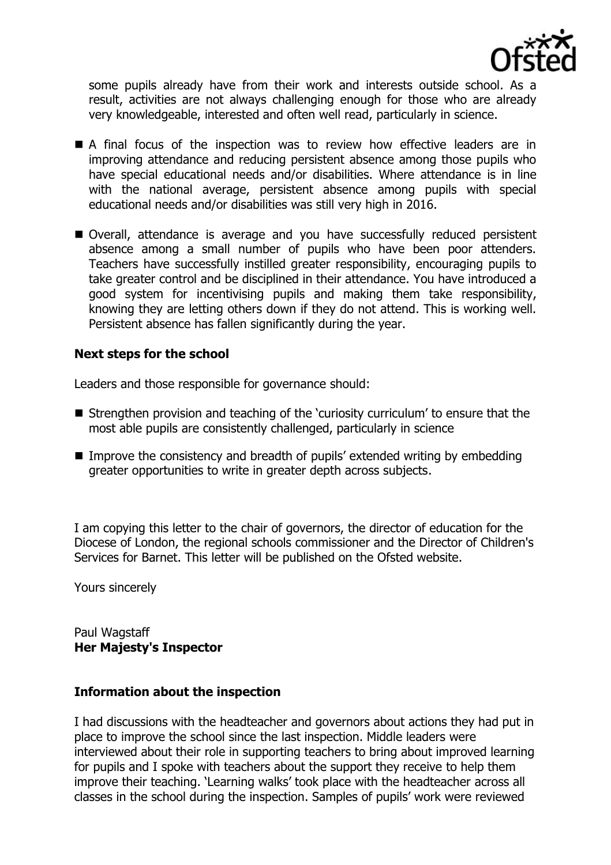

some pupils already have from their work and interests outside school. As a result, activities are not always challenging enough for those who are already very knowledgeable, interested and often well read, particularly in science.

- A final focus of the inspection was to review how effective leaders are in improving attendance and reducing persistent absence among those pupils who have special educational needs and/or disabilities. Where attendance is in line with the national average, persistent absence among pupils with special educational needs and/or disabilities was still very high in 2016.
- Overall, attendance is average and you have successfully reduced persistent absence among a small number of pupils who have been poor attenders. Teachers have successfully instilled greater responsibility, encouraging pupils to take greater control and be disciplined in their attendance. You have introduced a good system for incentivising pupils and making them take responsibility, knowing they are letting others down if they do not attend. This is working well. Persistent absence has fallen significantly during the year.

### **Next steps for the school**

Leaders and those responsible for governance should:

- Strengthen provision and teaching of the 'curiosity curriculum' to ensure that the most able pupils are consistently challenged, particularly in science
- Improve the consistency and breadth of pupils' extended writing by embedding greater opportunities to write in greater depth across subjects.

I am copying this letter to the chair of governors, the director of education for the Diocese of London, the regional schools commissioner and the Director of Children's Services for Barnet. This letter will be published on the Ofsted website.

Yours sincerely

Paul Wagstaff **Her Majesty's Inspector**

#### **Information about the inspection**

I had discussions with the headteacher and governors about actions they had put in place to improve the school since the last inspection. Middle leaders were interviewed about their role in supporting teachers to bring about improved learning for pupils and I spoke with teachers about the support they receive to help them improve their teaching. 'Learning walks' took place with the headteacher across all classes in the school during the inspection. Samples of pupils' work were reviewed